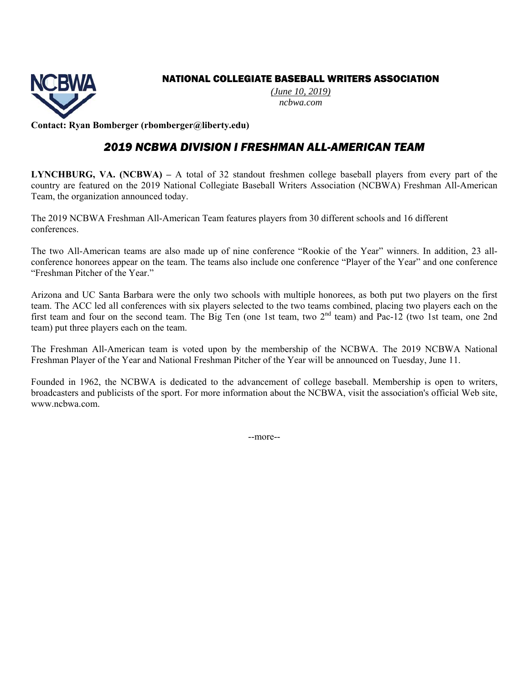#### NATIONAL COLLEGIATE BASEBALL WRITERS ASSOCIATION



*(June 10, 2019) ncbwa.com* 

**Contact: Ryan Bomberger (rbomberger@liberty.edu)** 

### *2019 NCBWA DIVISION I FRESHMAN ALL-AMERICAN TEAM*

**LYNCHBURG, VA. (NCBWA) –** A total of 32 standout freshmen college baseball players from every part of the country are featured on the 2019 National Collegiate Baseball Writers Association (NCBWA) Freshman All-American Team, the organization announced today.

The 2019 NCBWA Freshman All-American Team features players from 30 different schools and 16 different conferences.

The two All-American teams are also made up of nine conference "Rookie of the Year" winners. In addition, 23 allconference honorees appear on the team. The teams also include one conference "Player of the Year" and one conference "Freshman Pitcher of the Year."

Arizona and UC Santa Barbara were the only two schools with multiple honorees, as both put two players on the first team. The ACC led all conferences with six players selected to the two teams combined, placing two players each on the first team and four on the second team. The Big Ten (one 1st team, two 2nd team) and Pac-12 (two 1st team, one 2nd team) put three players each on the team.

The Freshman All-American team is voted upon by the membership of the NCBWA. The 2019 NCBWA National Freshman Player of the Year and National Freshman Pitcher of the Year will be announced on Tuesday, June 11.

Founded in 1962, the NCBWA is dedicated to the advancement of college baseball. Membership is open to writers, broadcasters and publicists of the sport. For more information about the NCBWA, visit the association's official Web site, www.ncbwa.com.

--more--